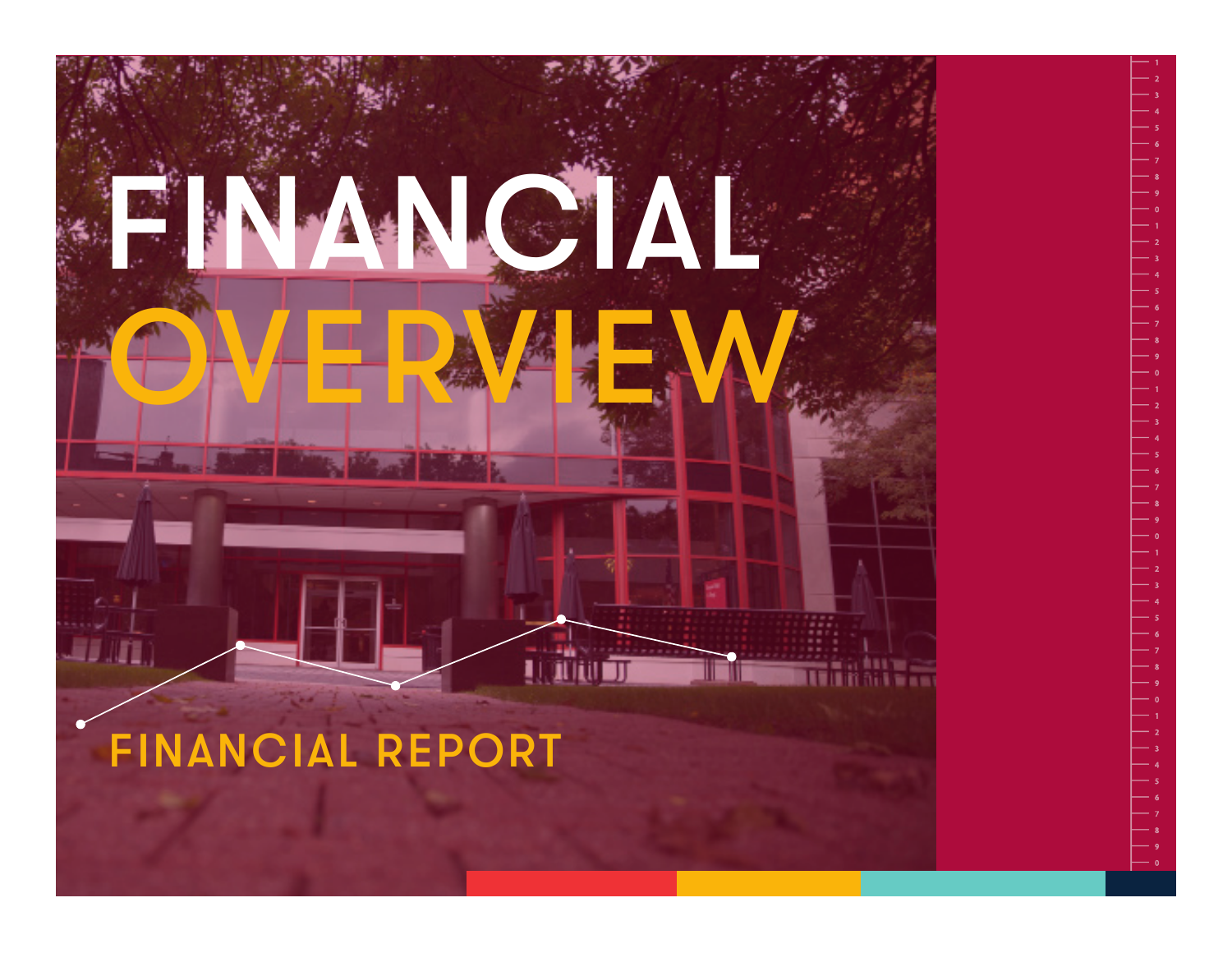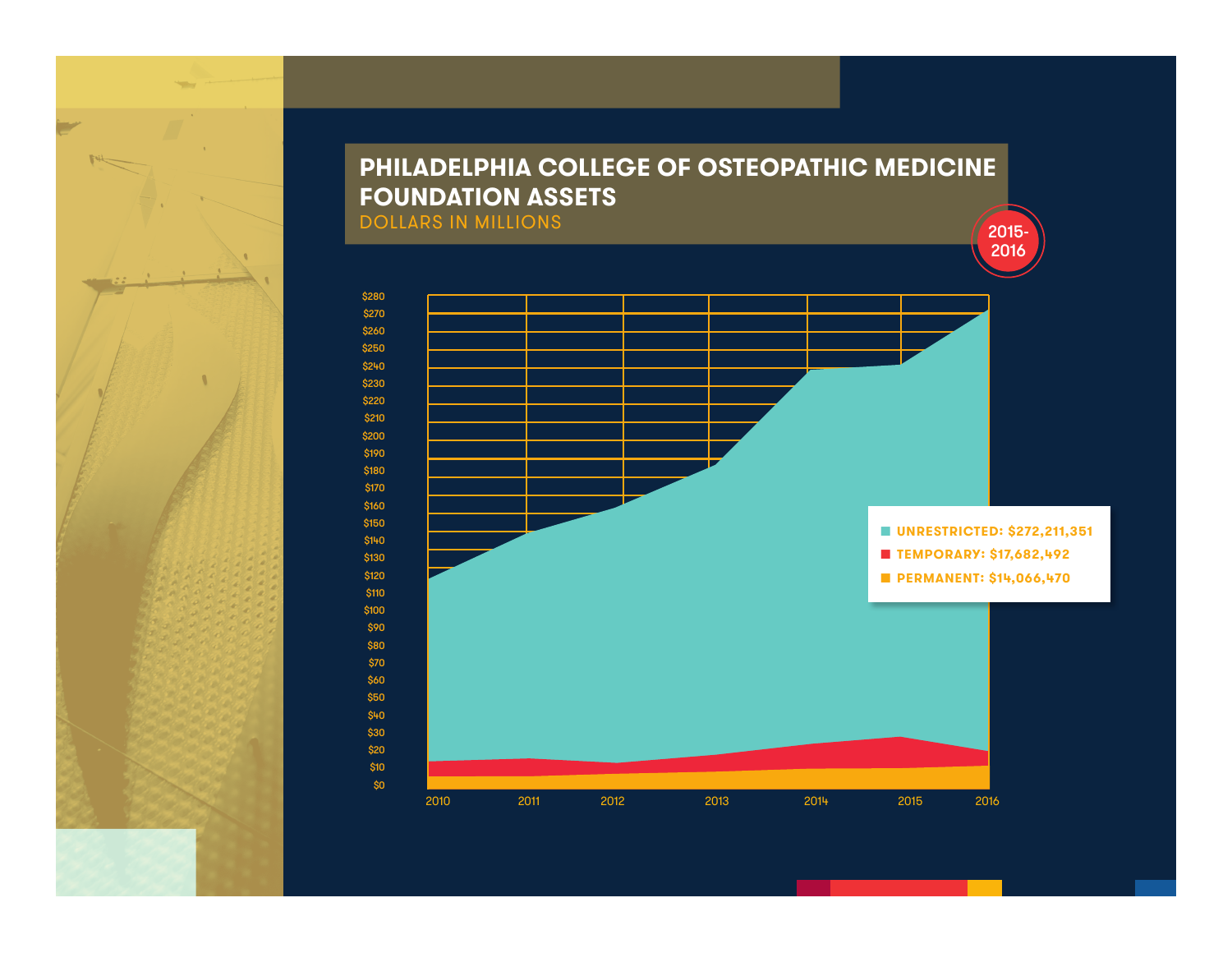## **PHILADELPHIA COLLEGE OF OSTEOPATHIC MEDICINE FOUNDATION ASSETS** DOLLARS IN MILLIONS 2015-2015

 2010 2011 2012 2013 2014 2015 2016 \$280 \$270 \$260 \$250 \$240 \$230 \$220 \$210 \$200 \$190 \$180 \$170 \$160 \$150 \$140 \$130 \$120 \$110 \$100 \$90 \$80 \$70 \$60 \$50 \$40 \$30 \$20 \$10 \$0 n **UNRESTRICTED: \$272,211,351** n **TEMPORARY: \$17,682,492** n **PERMANENT: \$14,066,470**

2016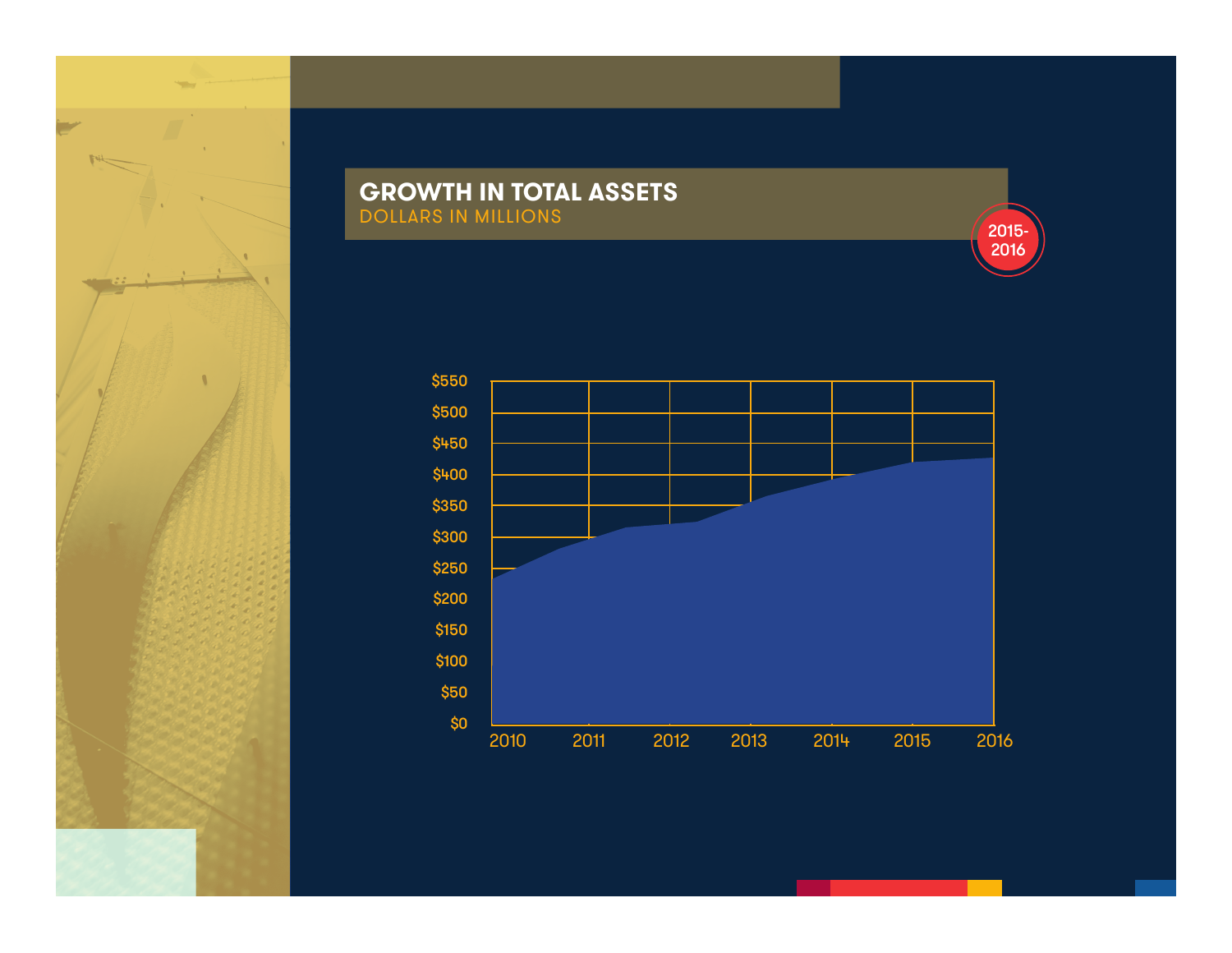

### **GROWTH IN TOTAL ASSETS** DOLLARS IN MILLIONS

2015- 2016

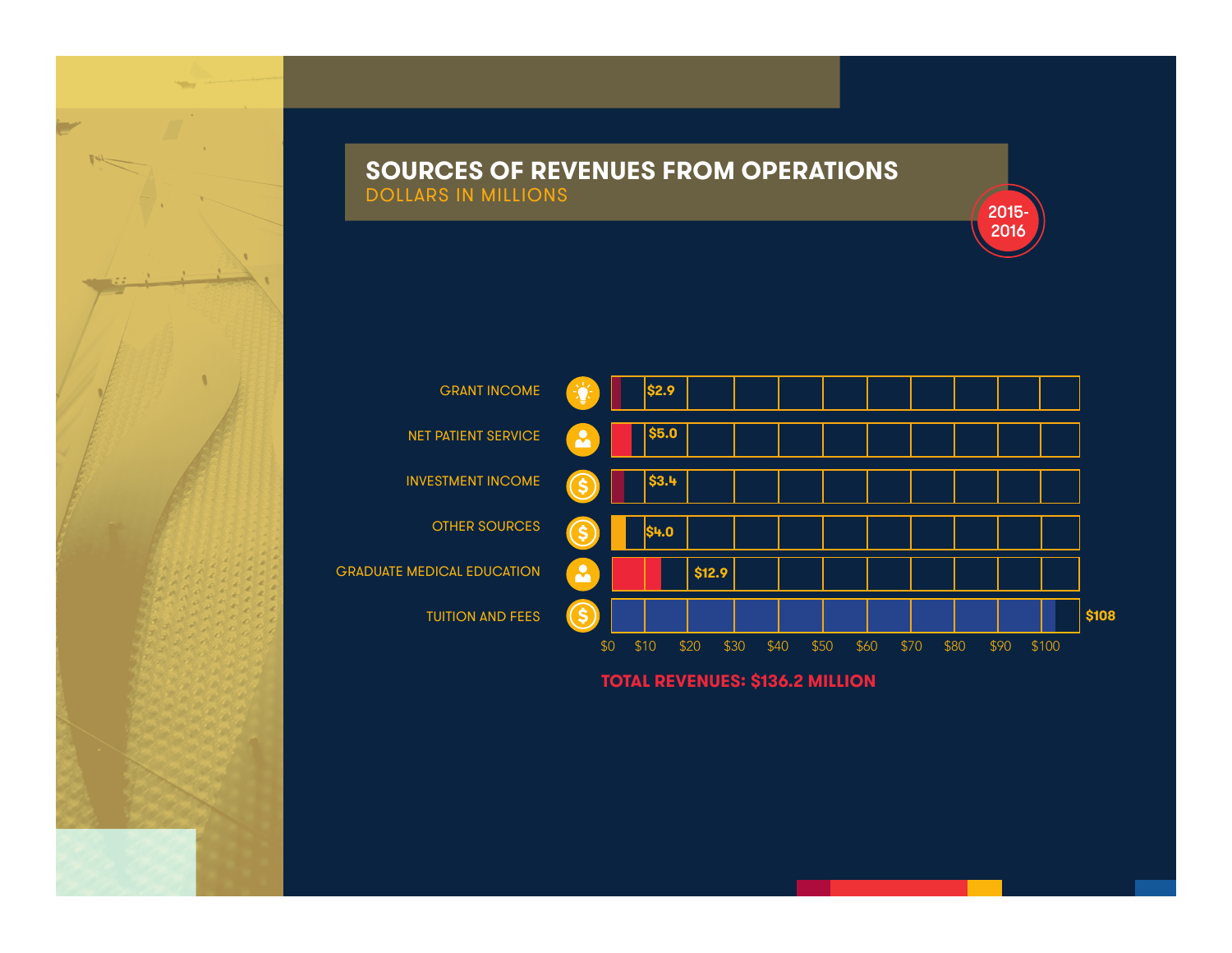#### **SOURCES OF REVENUES FROM OPERATIONS** DOLLARS IN MILLIONS



2015- 2016

**TOTAL REVENUES: \$136.2 MILLION**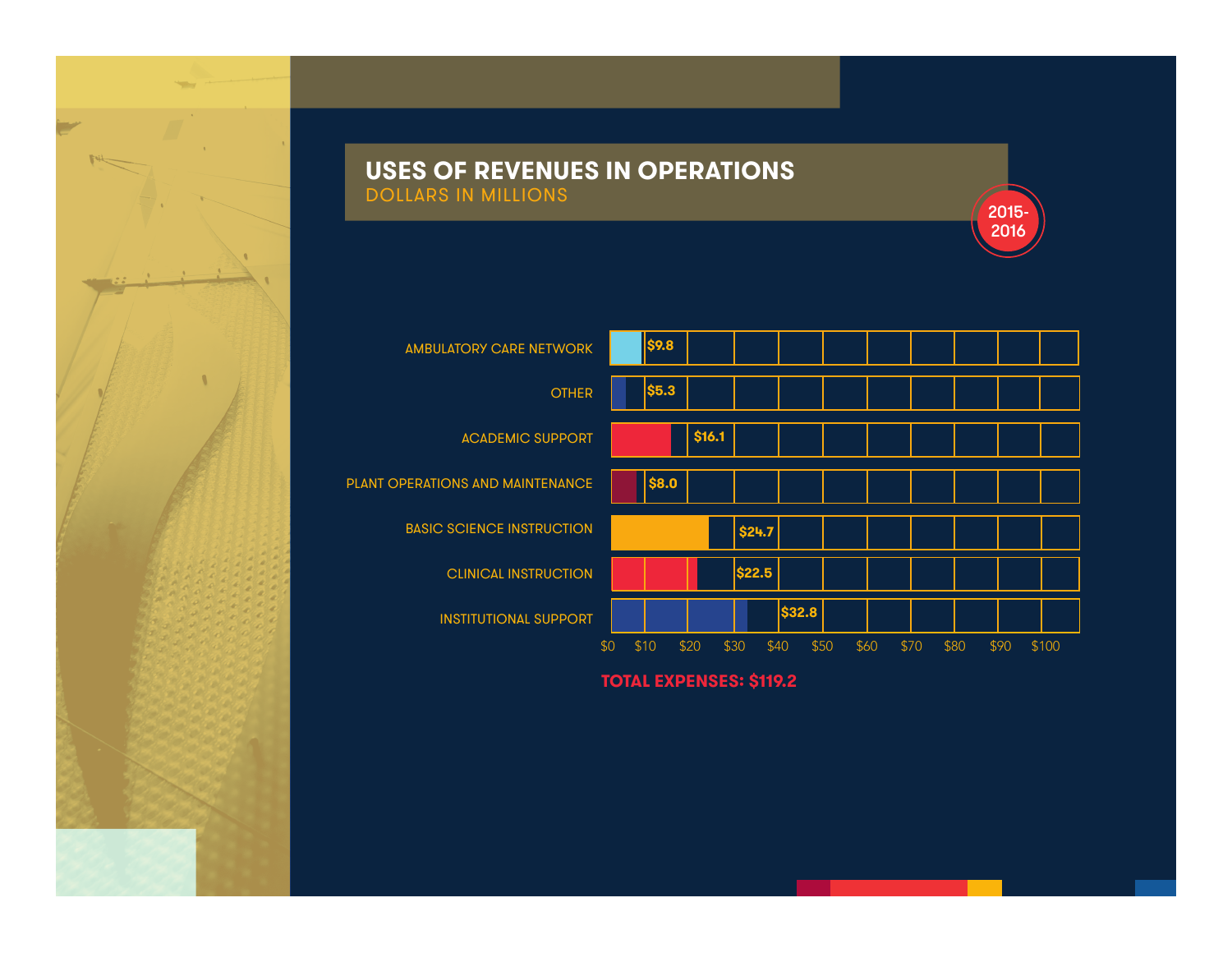

#### **USES OF REVENUES IN OPERATIONS** DOLLARS IN MILLIONS



2015- 2016

**TOTAL EXPENSES: \$119.2**